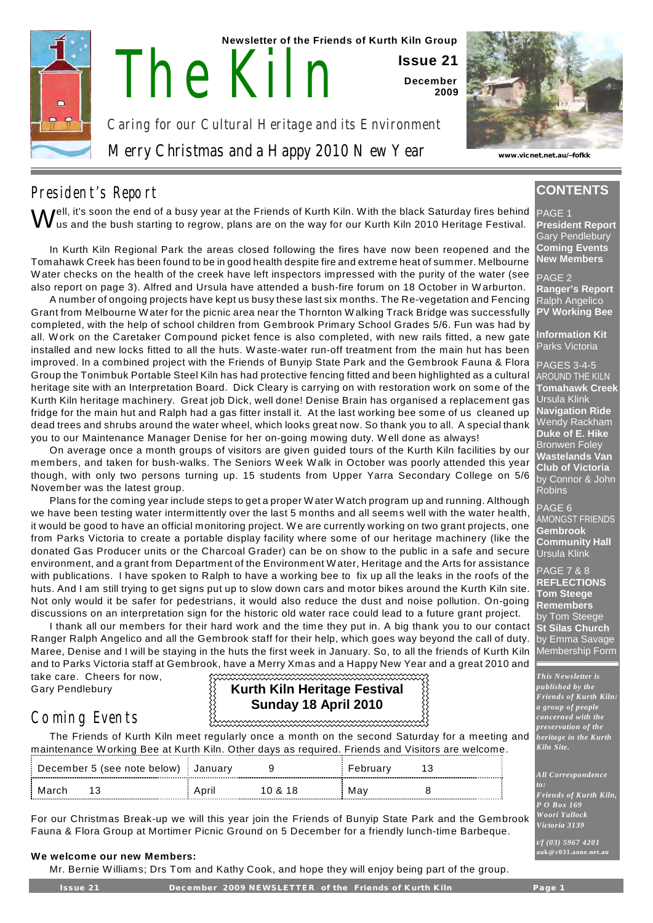

 **Newsletter of the Friends of Kurth Kiln Group**

**Issue 21 December 2009**

Caring for our Cultural Heritage and its Environment

Merry Christmas and a Happy 2010 New Year

The Kiln



**www.vicnet.net.au/~fofkk**

# President's Report

 $\bigvee$ ell, it's soon the end of a busy year at the Friends of Kurth Kiln. With the black Saturday fires behind<br>In us and the bush starting to regrow, plans are on the way for our Kurth Kiln 2010 Heritage Festival. us and the bush starting to regrow, plans are on the way for our Kurth Kiln 2010 Heritage Festival.

In Kurth Kiln Regional Park the areas closed following the fires have now been reopened and the Tomahawk Creek has been found to be in good health despite fire and extreme heat of summer. Melbourne W ater checks on the health of the creek have left inspectors impressed with the purity of the water (see also report on page 3). Alfred and Ursula have attended a bush-fire forum on 18 October in W arburton.

A number of ongoing projects have kept us busy these last six months. The Re-vegetation and Fencing Grant from Melbourne W ater for the picnic area near the Thornton W alking Track Bridge was successfully completed, with the help of school children from Gembrook Primary School Grades 5/6. Fun was had by all. W ork on the Caretaker Compound picket fence is also completed, with new rails fitted, a new gate installed and new locks fitted to all the huts. W aste-water run-off treatment from the main hut has been improved. In a combined project with the Friends of Bunyip State Park and the Gembrook Fauna & Flora Group the Tonimbuk Portable Steel Kiln has had protective fencing fitted and been highlighted as a cultural heritage site with an Interpretation Board. Dick Cleary is carrying on with restoration work on some of the Kurth Kiln heritage machinery. Great job Dick, well done! Denise Brain has organised a replacement gas fridge for the main hut and Ralph had a gas fitter install it. At the last working bee some of us cleaned up dead trees and shrubs around the water wheel, which looks great now. So thank you to all. A special thank you to our Maintenance Manager Denise for her on-going mowing duty. W ell done as always!

On average once a month groups of visitors are given guided tours of the Kurth Kiln facilities by our members, and taken for bush-walks. The Seniors W eek W alk in October was poorly attended this year though, with only two persons turning up. 15 students from Upper Yarra Secondary College on 5/6 November was the latest group.

Plans for the coming year include steps to get a proper W ater W atch program up and running. Although we have been testing water intermittently over the last 5 months and all seems well with the water health, it would be good to have an official monitoring project. W e are currently working on two grant projects, one from Parks Victoria to create a portable display facility where some of our heritage machinery (like the donated Gas Producer units or the Charcoal Grader) can be on show to the public in a safe and secure environment, and a grant from Department of the Environment W ater, Heritage and the Arts for assistance with publications. I have spoken to Ralph to have a working bee to fix up all the leaks in the roofs of the huts. And I am still trying to get signs put up to slow down cars and motor bikes around the Kurth Kiln site. Not only would it be safer for pedestrians, it would also reduce the dust and noise pollution. On-going discussions on an interpretation sign for the historic old water race could lead to a future grant project.

I thank all our members for their hard work and the time they put in. A big thank you to our contact Ranger Ralph Angelico and all the Gembrook staff for their help, which goes way beyond the call of duty. Maree, Denise and I will be staying in the huts the first week in January. So, to all the friends of Kurth Kiln and to Parks Victoria staff at Gembrook, have a Merry Xmas and a Happy New Year and a great 2010 and 

take care. Cheers for now, Gary Pendlebury

# Coming Events

### **Kurth Kiln Heritage Festival Sunday 18 April 2010**

The Friends of Kurth Kiln meet regularly once a month on the second Saturday for a meeting and maintenance W orking Bee at Kurth Kiln. Other days as required. Friends and Visitors are welcome.

| December 5 (see note below) January |  |       |         | Februarv |  |
|-------------------------------------|--|-------|---------|----------|--|
| March                               |  | April | 10 & 18 | Mav      |  |

For our Christmas Break-up we will this year join the Friends of Bunyip State Park and the Gembrook Fauna & Flora Group at Mortimer Picnic Ground on 5 December for a friendly lunch-time Barbeque.

#### **We welcome our new Members:**

Mr. Bernie W illiams; Drs Tom and Kathy Cook, and hope they will enjoy being part of the group.

**CONTENTS**

#### PAGE<sub>1</sub>

**President Report** Gary Pendlebury **Coming Events New Members**

PAGE 2 **Ranger's Report** Ralph Angelico **PV Working Bee**

**Information Kit** Parks Victoria

PAGES 3-4-5 AROUND THE KILN **Tomahawk Creek** Ursula Klink **Navigation Ride** Wendy Rackham **Duke of E. Hike** Bronwen Foley **Wastelands Van Club of Victoria** by Connor & John **Robins** 

PAGE 6 AMONGST FRIENDS **Gembrook Community Hall** Ursula Klink

PAGE 7 & 8 **REFLECTIONS Tom Steege Remembers** by Tom Steege **St Silas Church** by Emma Savage Membership Form

*This Newsletter is published by the Friends of Kurth Kiln: a group of people concerned with the preservation of the heritage in the Kurth Kiln Site.*

*All Correspondence*

*to: Friends of Kurth Kiln, P O Box 169 W oori Yallock Victoria 3139*

*t/f (03) 5967 4201* **auk@ c031.aone.net.au**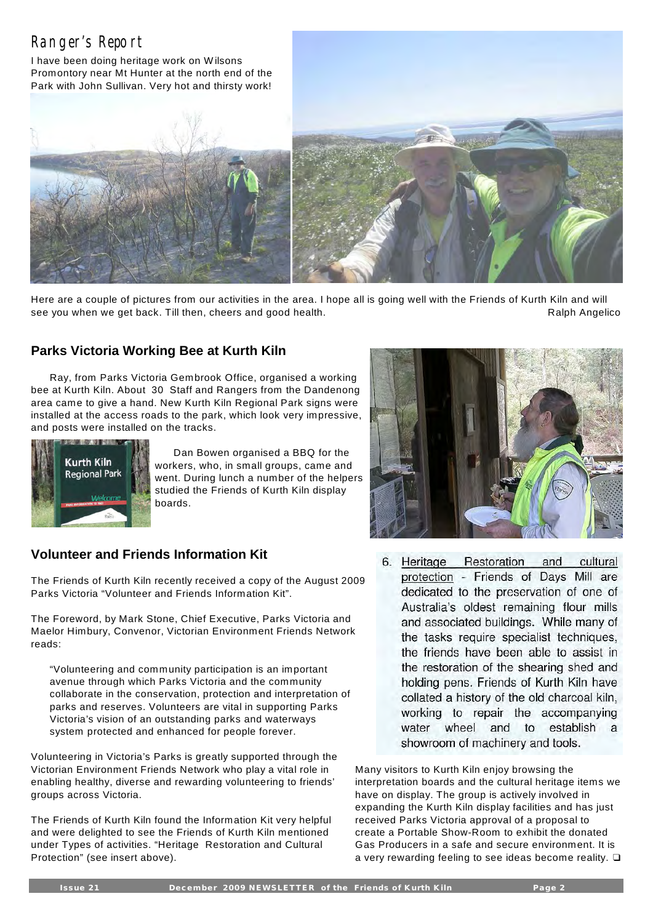# Ranger's Report

I have been doing heritage work on W ilsons Promontory near Mt Hunter at the north end of the Park with John Sullivan. Very hot and thirsty work!





Here are a couple of pictures from our activities in the area. I hope all is going well with the Friends of Kurth Kiln and will see you when we get back. Till then, cheers and good health. The same seed the same Ralph Angelico

### **Parks Victoria Working Bee at Kurth Kiln**

Ray, from Parks Victoria Gembrook Office, organised a working bee at Kurth Kiln. About 30 Staff and Rangers from the Dandenong area came to give a hand. New Kurth Kiln Regional Park signs were installed at the access roads to the park, which look very impressive, and posts were installed on the tracks.



Dan Bowen organised a BBQ for the workers, who, in small groups, came and went. During lunch a number of the helpers studied the Friends of Kurth Kiln display boards.

### **Volunteer and Friends Information Kit**

The Friends of Kurth Kiln recently received a copy of the August 2009 Parks Victoria "Volunteer and Friends Information Kit".

The Foreword, by Mark Stone, Chief Executive, Parks Victoria and Maelor Himbury, Convenor, Victorian Environment Friends Network reads:

"Volunteering and community participation is an important avenue through which Parks Victoria and the community collaborate in the conservation, protection and interpretation of parks and reserves. Volunteers are vital in supporting Parks Victoria's vision of an outstanding parks and waterways system protected and enhanced for people forever.

Volunteering in Victoria's Parks is greatly supported through the Victorian Environment Friends Network who play a vital role in enabling healthy, diverse and rewarding volunteering to friends' groups across Victoria.

The Friends of Kurth Kiln found the Information Kit very helpful and were delighted to see the Friends of Kurth Kiln mentioned under Types of activities. "Heritage Restoration and Cultural Protection" (see insert above).



6. Heritage Restoration and cultural protection - Friends of Days Mill are dedicated to the preservation of one of Australia's oldest remaining flour mills and associated buildings. While many of the tasks require specialist techniques, the friends have been able to assist in the restoration of the shearing shed and holding pens. Friends of Kurth Kiln have collated a history of the old charcoal kiln, working to repair the accompanying water wheel and to establish a showroom of machinery and tools.

Many visitors to Kurth Kiln enjoy browsing the interpretation boards and the cultural heritage items we have on display. The group is actively involved in expanding the Kurth Kiln display facilities and has just received Parks Victoria approval of a proposal to create a Portable Show-Room to exhibit the donated Gas Producers in a safe and secure environment. It is a very rewarding feeling to see ideas become reality.  $\square$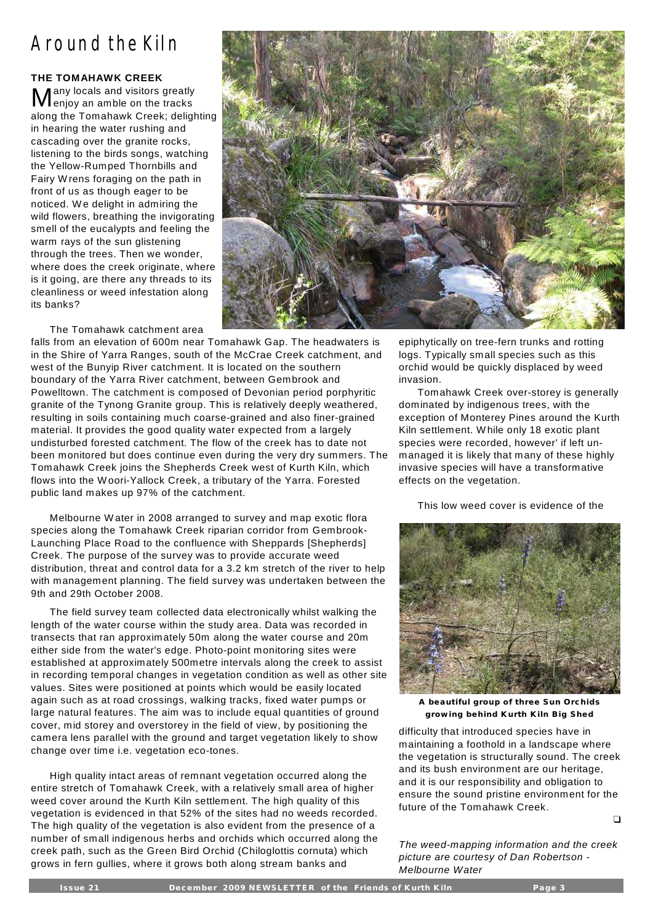# Around the Kiln

#### **THE TOMAHAWK CREEK**

Many locals and visitors greatly<br>Menjoy an amble on the tracks any locals and visitors greatly along the Tomahawk Creek; delighting in hearing the water rushing and cascading over the granite rocks, listening to the birds songs, watching the Yellow-Rumped Thornbills and Fairy W rens foraging on the path in front of us as though eager to be noticed. W e delight in admiring the wild flowers, breathing the invigorating smell of the eucalypts and feeling the warm rays of the sun glistening through the trees. Then we wonder, where does the creek originate, where is it going, are there any threads to its cleanliness or weed infestation along its banks?

The Tomahawk catchment area

falls from an elevation of 600m near Tomahawk Gap. The headwaters is in the Shire of Yarra Ranges, south of the McCrae Creek catchment, and west of the Bunyip River catchment. It is located on the southern boundary of the Yarra River catchment, between Gembrook and Powelltown. The catchment is composed of Devonian period porphyritic granite of the Tynong Granite group. This is relatively deeply weathered, resulting in soils containing much coarse-grained and also finer-grained material. It provides the good quality water expected from a largely undisturbed forested catchment. The flow of the creek has to date not been monitored but does continue even during the very dry summers. The Tomahawk Creek joins the Shepherds Creek west of Kurth Kiln, which flows into the W oori-Yallock Creek, a tributary of the Yarra. Forested public land makes up 97% of the catchment.

Melbourne W ater in 2008 arranged to survey and map exotic flora species along the Tomahawk Creek riparian corridor from Gembrook-Launching Place Road to the confluence with Sheppards [Shepherds] Creek. The purpose of the survey was to provide accurate weed distribution, threat and control data for a 3.2 km stretch of the river to help with management planning. The field survey was undertaken between the 9th and 29th October 2008.

The field survey team collected data electronically whilst walking the length of the water course within the study area. Data was recorded in transects that ran approximately 50m along the water course and 20m either side from the water's edge. Photo-point monitoring sites were established at approximately 500metre intervals along the creek to assist in recording temporal changes in vegetation condition as well as other site values. Sites were positioned at points which would be easily located again such as at road crossings, walking tracks, fixed water pumps or large natural features. The aim was to include equal quantities of ground cover, mid storey and overstorey in the field of view, by positioning the camera lens parallel with the ground and target vegetation likely to show change over time i.e. vegetation eco-tones.

High quality intact areas of remnant vegetation occurred along the entire stretch of Tomahawk Creek, with a relatively small area of higher weed cover around the Kurth Kiln settlement. The high quality of this vegetation is evidenced in that 52% of the sites had no weeds recorded. The high quality of the vegetation is also evident from the presence of a number of small indigenous herbs and orchids which occurred along the creek path, such as the Green Bird Orchid (Chiloglottis cornuta) which grows in fern gullies, where it grows both along stream banks and



epiphytically on tree-fern trunks and rotting logs. Typically small species such as this orchid would be quickly displaced by weed invasion.

Tomahawk Creek over-storey is generally dominated by indigenous trees, with the exception of Monterey Pines around the Kurth Kiln settlement. W hile only 18 exotic plant species were recorded, however' if left unmanaged it is likely that many of these highly invasive species will have a transformative effects on the vegetation.

This low weed cover is evidence of the



A beautiful group of three Sun Orchids **grow ing beh ind Kurth K iln B ig Shed**

difficulty that introduced species have in maintaining a foothold in a landscape where the vegetation is structurally sound. The creek and its bush environment are our heritage, and it is our responsibility and obligation to ensure the sound pristine environment for the future of the Tomahawk Creek.

 $\Box$ 

*The weed-mapping information and the creek picture are courtesy of Dan Robertson - Melbourne Water*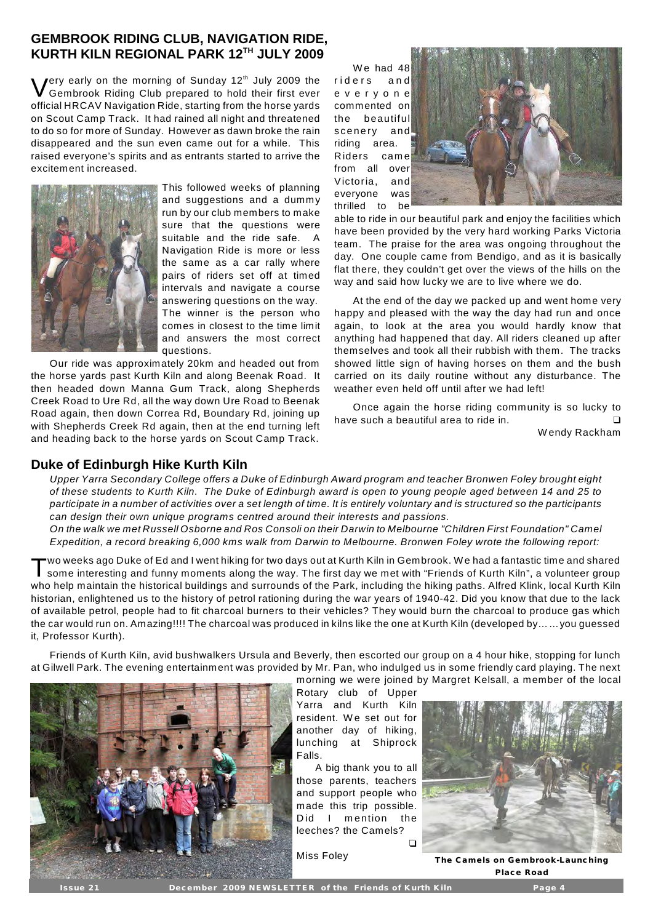#### **GEMBROOK RIDING CLUB, NAVIGATION RIDE, KURTH KILN REGIONAL PARK 12<sup>TH</sup> JULY 2009**

V Jery early on the morning of Sunday  $12<sup>th</sup>$  July 2009 the Gembrook Riding Club prepared to hold their first ever official HRCAV Navigation Ride, starting from the horse yards on Scout Camp Track. It had rained all night and threatened to do so for more of Sunday. However as dawn broke the rain disappeared and the sun even came out for a while. This raised everyone's spirits and as entrants started to arrive the excitement increased.



This followed weeks of planning and suggestions and a dummy run by our club members to make sure that the questions were suitable and the ride safe. A Navigation Ride is more or less the same as a car rally where pairs of riders set off at timed intervals and navigate a course answering questions on the way. The winner is the person who comes in closest to the time limit and answers the most correct questions.

Our ride was approximately 20km and headed out from the horse yards past Kurth Kiln and along Beenak Road. It then headed down Manna Gum Track, along Shepherds Creek Road to Ure Rd, all the way down Ure Road to Beenak Road again, then down Correa Rd, Boundary Rd, joining up with Shepherds Creek Rd again, then at the end turning left and heading back to the horse yards on Scout Camp Track.

We had 48 riders and e v e r y o n e commented on the beautiful scenery and riding area. Riders cam e from all over Victoria, and everyone was thrilled to be



able to ride in our beautiful park and enjoy the facilities which have been provided by the very hard working Parks Victoria team. The praise for the area was ongoing throughout the day. One couple came from Bendigo, and as it is basically flat there, they couldn't get over the views of the hills on the way and said how lucky we are to live where we do.

At the end of the day we packed up and went home very happy and pleased with the way the day had run and once again, to look at the area you would hardly know that anything had happened that day. All riders cleaned up after themselves and took all their rubbish with them. The tracks showed little sign of having horses on them and the bush carried on its daily routine without any disturbance. The weather even held off until after we had left!

Once again the horse riding community is so lucky to have such a beautiful area to ride in.

W endy Rackham

#### **Duke of Edinburgh Hike Kurth Kiln**

*Upper Yarra Secondary College offers a Duke of Edinburgh Award program and teacher Bronwen Foley brought eight of these students to Kurth Kiln. The Duke of Edinburgh award is open to young people aged between 14 and 25 to participate in a number of activities over a set length of time. It is entirely voluntary and is structured so the participants can design their own unique programs centred around their interests and passions.* 

*On the walk we met Russell Osborne and Ros Consoli on their Darwin to Melbourne "Children First Foundation" Camel Expedition, a record breaking 6,000 kms walk from Darwin to Melbourne. Bronwen Foley wrote the following report:* 

T wo weeks ago Duke of Ed and I went hiking for two days out at Kurth Kiln in Gembrook. W e had a fantastic time and shared some interesting and funny moments along the way. The first day we met with "Friends of Kurth Kiln", a volunteer group who help maintain the historical buildings and surrounds of the Park, including the hiking paths. Alfred Klink, local Kurth Kiln historian, enlightened us to the history of petrol rationing during the war years of 1940-42. Did you know that due to the lack of available petrol, people had to fit charcoal burners to their vehicles? They would burn the charcoal to produce gas which the car would run on. Amazing!!!! The charcoal was produced in kilns like the one at Kurth Kiln (developed by……you guessed it, Professor Kurth).

Friends of Kurth Kiln, avid bushwalkers Ursula and Beverly, then escorted our group on a 4 hour hike, stopping for lunch at Gilwell Park. The evening entertainment was provided by Mr. Pan, who indulged us in some friendly card playing. The next



morning we were joined by Margret Kelsall, a member of the local Rotary club of Upper Yarra and Kurth Kiln resident. We set out for another day of hiking, lunching at Shiprock Falls.

A big thank you to all those parents, teachers and support people who made this trip possible. Did I mention the leeches? the Camels?

 $\Box$ 



**Miss Foley The Camels on Gembrook-Launching P lace Road**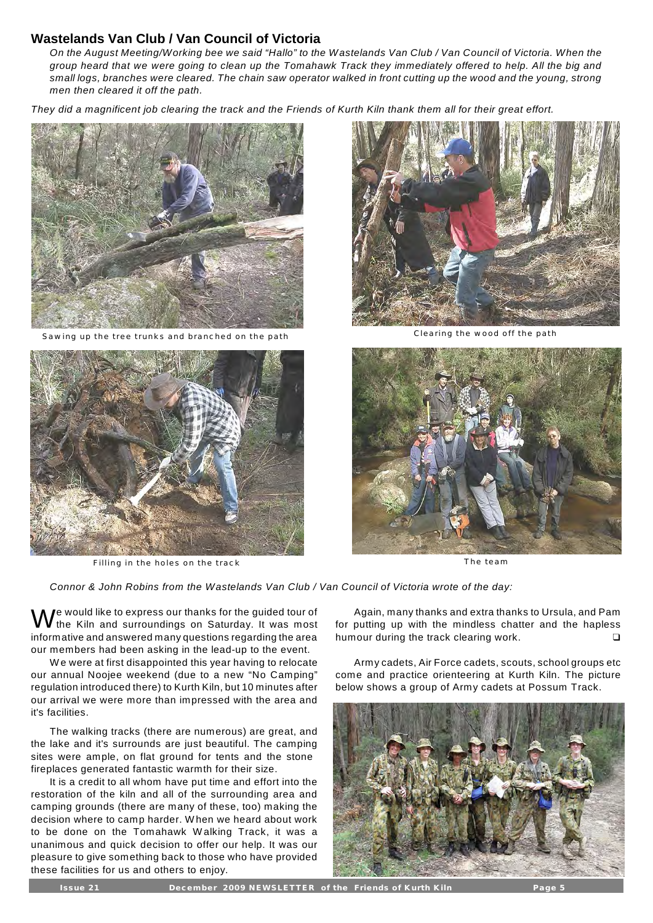#### **Wastelands Van Club / Van Council of Victoria**

*On the August Meeting/Working bee we said "Hallo" to the Wastelands Van Club / Van Council of Victoria. When the group heard that we were going to clean up the Tomahawk Track they immediately offered to help. All the big and small logs, branches were cleared. The chain saw operator walked in front cutting up the wood and the young, strong men then cleared it off the path.*

*They did a magnificent job clearing the track and the Friends of Kurth Kiln thank them all for their great effort.* 



Sawing up the tree trunks and branched on the path Clearing the wood off the path Clearing the wood off the path



Filling in the holes on the track The team and the team of the team of the team of the team of the team of the team of the team of the team of the team of the team of the team of the team of the team of the team of the tea





*Connor & John Robins from the Wastelands Van Club / Van Council of Victoria wrote of the day:*

W e would like to express our thanks for the guided tour of the Kiln and surroundings on Saturday. It was most informative and answered many questions regarding the area our members had been asking in the lead-up to the event.

W e were at first disappointed this year having to relocate our annual Noojee weekend (due to a new "No Camping" regulation introduced there) to Kurth Kiln, but 10 minutes after our arrival we were more than impressed with the area and it's facilities.

The walking tracks (there are numerous) are great, and the lake and it's surrounds are just beautiful. The camping sites were ample, on flat ground for tents and the stone fireplaces generated fantastic warmth for their size.

It is a credit to all whom have put time and effort into the restoration of the kiln and all of the surrounding area and camping grounds (there are many of these, too) making the decision where to camp harder. W hen we heard about work to be done on the Tomahawk Walking Track, it was a unanimous and quick decision to offer our help. It was our pleasure to give something back to those who have provided these facilities for us and others to enjoy.

Again, many thanks and extra thanks to Ursula, and Pam for putting up with the mindless chatter and the hapless humour during the track clearing work.

Army cadets, Air Force cadets, scouts, school groups etc come and practice orienteering at Kurth Kiln. The picture below shows a group of Army cadets at Possum Track.

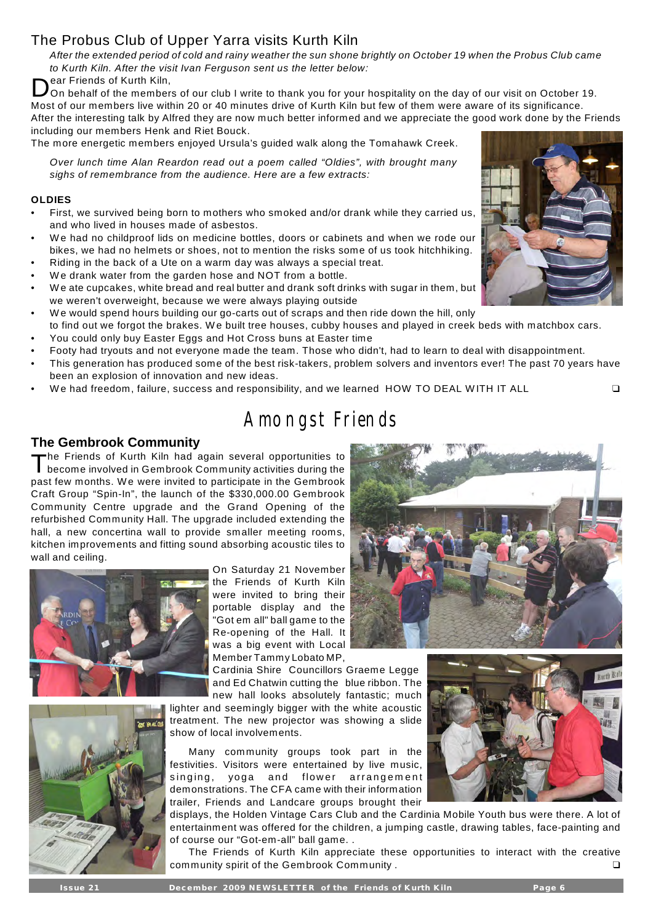## The Probus Club of Upper Yarra visits Kurth Kiln

*After the extended period of cold and rainy weather the sun shone brightly on October 19 when the Probus Club came to Kurth Kiln. After the visit Ivan Ferguson sent us the letter below:*

ear Friends of Kurth Kiln,

D On behalf of the members of our club I write to thank you for your hospitality on the day of our visit on October 19. Most of our members live within 20 or 40 minutes drive of Kurth Kiln but few of them were aware of its significance.

After the interesting talk by Alfred they are now much better informed and we appreciate the good work done by the Friends including our members Henk and Riet Bouck.

The more energetic members enjoyed Ursula's guided walk along the Tomahawk Creek.

*Over lunch time Alan Reardon read out a poem called "Oldies", with brought many sighs of remembrance from the audience. Here are a few extracts:* 

#### **OLDIES**

- First, we survived being born to mothers who smoked and/or drank while they carried us, and who lived in houses made of asbestos.
- We had no childproof lids on medicine bottles, doors or cabinets and when we rode our bikes, we had no helmets or shoes, not to mention the risks some of us took hitchhiking.
- Riding in the back of a Ute on a warm day was always a special treat.
- We drank water from the garden hose and NOT from a bottle.
- We ate cupcakes, white bread and real butter and drank soft drinks with sugar in them, but we weren't overweight, because we were always playing outside
- We would spend hours building our go-carts out of scraps and then ride down the hill, only to find out we forgot the brakes. We built tree houses, cubby houses and played in creek beds with matchbox cars.
- You could only buy Easter Eggs and Hot Cross buns at Easter time
- Footy had tryouts and not everyone made the team. Those who didn't, had to learn to deal with disappointment.
- This generation has produced some of the best risk-takers, problem solvers and inventors ever! The past 70 years have been an explosion of innovation and new ideas.
- We had freedom, failure, success and responsibility, and we learned HOW TO DEAL WITH IT ALL  $\Box$

# Amongst Friends

#### **The Gembrook Community**

T he Friends of Kurth Kiln had again several opportunities to become involved in Gembrook Community activities during the past few months. W e were invited to participate in the Gembrook Craft Group "Spin-In", the launch of the \$330,000.00 Gembrook Community Centre upgrade and the Grand Opening of the refurbished Community Hall. The upgrade included extending the hall, a new concertina wall to provide smaller meeting rooms, kitchen improvements and fitting sound absorbing acoustic tiles to wall and ceiling.



On Saturday 21 November the Friends of Kurth Kiln were invited to bring their portable display and the "Got em all" ball game to the Re-opening of the Hall. It was a big event with Local Member Tammy Lobato MP,

Cardinia Shire Councillors Graeme Legge and Ed Chatwin cutting the blue ribbon. The new hall looks absolutely fantastic; much

lighter and seemingly bigger with the white acoustic treatment. The new projector was showing a slide show of local involvements.

Many community groups took part in the festivities. Visitors were entertained by live music, singing, yoga and flower arrangement demonstrations. The CFA came with their information trailer, Friends and Landcare groups brought their

displays, the Holden Vintage Cars Club and the Cardinia Mobile Youth bus were there. A lot of entertainment was offered for the children, a jumping castle, drawing tables, face-painting and of course our "Got-em-all" ball game. .

The Friends of Kurth Kiln appreciate these opportunities to interact with the creative community spirit of the Gembrook Community .





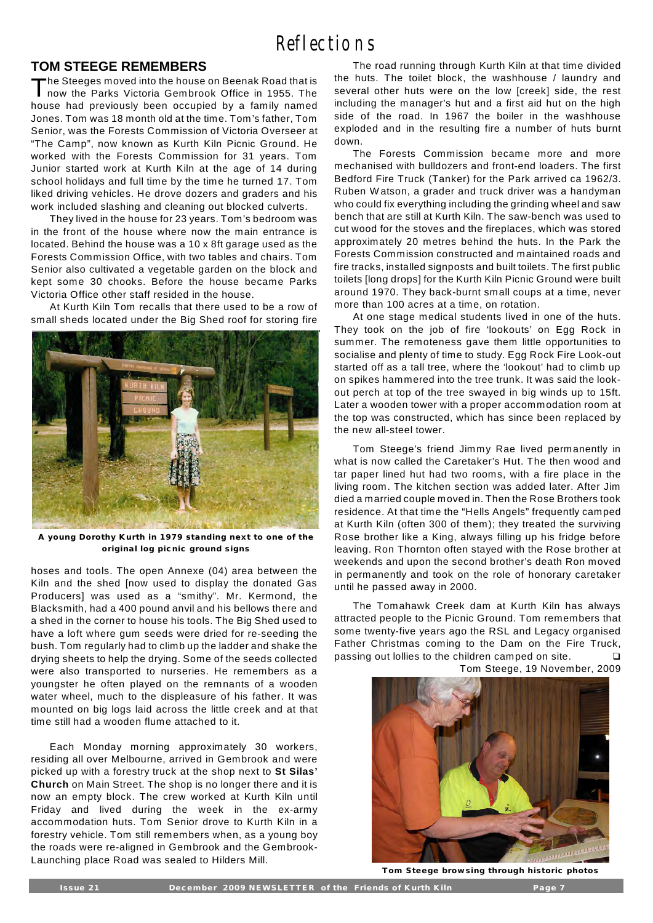### **TOM STEEGE REMEMBERS**

 $\mathsf{T}% _{M_{1},M_{2}}^{\alpha,\beta}(\mathbb{R}^{N})$ he Steeges moved into the house on Beenak Road that is now the Parks Victoria Gembrook Office in 1955. The house had previously been occupied by a family named Jones. Tom was 18 month old at the time. Tom's father, Tom Senior, was the Forests Commission of Victoria Overseer at "The Camp", now known as Kurth Kiln Picnic Ground. He worked with the Forests Commission for 31 years. Tom Junior started work at Kurth Kiln at the age of 14 during school holidays and full time by the time he turned 17. Tom liked driving vehicles. He drove dozers and graders and his work included slashing and cleaning out blocked culverts.

They lived in the house for 23 years. Tom's bedroom was in the front of the house where now the main entrance is located. Behind the house was a 10 x 8ft garage used as the Forests Commission Office, with two tables and chairs. Tom Senior also cultivated a vegetable garden on the block and kept some 30 chooks. Before the house became Parks Victoria Office other staff resided in the house.

At Kurth Kiln Tom recalls that there used to be a row of small sheds located under the Big Shed roof for storing fire



**A young Dorothy Kurth in 1979 standing next to one of the origina l log p icn ic ground signs**

hoses and tools. The open Annexe (04) area between the Kiln and the shed [now used to display the donated Gas Producers] was used as a "smithy". Mr. Kermond, the Blacksmith, had a 400 pound anvil and his bellows there and a shed in the corner to house his tools. The Big Shed used to have a loft where gum seeds were dried for re-seeding the bush. Tom regularly had to climb up the ladder and shake the drying sheets to help the drying. Some of the seeds collected were also transported to nurseries. He remembers as a youngster he often played on the remnants of a wooden water wheel, much to the displeasure of his father. It was mounted on big logs laid across the little creek and at that time still had a wooden flume attached to it.

Each Monday morning approximately 30 workers, residing all over Melbourne, arrived in Gembrook and were picked up with a forestry truck at the shop next to **St Silas' Church** on Main Street. The shop is no longer there and it is now an empty block. The crew worked at Kurth Kiln until Friday and lived during the week in the ex-army accommodation huts. Tom Senior drove to Kurth Kiln in a forestry vehicle. Tom still remembers when, as a young boy the roads were re-aligned in Gembrook and the Gembrook-Launching place Road was sealed to Hilders Mill.

The road running through Kurth Kiln at that time divided the huts. The toilet block, the washhouse / laundry and several other huts were on the low [creek] side, the rest including the manager's hut and a first aid hut on the high side of the road. In 1967 the boiler in the washhouse exploded and in the resulting fire a number of huts burnt down.

The Forests Commission became more and more mechanised with bulldozers and front-end loaders. The first Bedford Fire Truck (Tanker) for the Park arrived ca 1962/3. Ruben W atson, a grader and truck driver was a handyman who could fix everything including the grinding wheel and saw bench that are still at Kurth Kiln. The saw-bench was used to cut wood for the stoves and the fireplaces, which was stored approximately 20 metres behind the huts. In the Park the Forests Commission constructed and maintained roads and fire tracks, installed signposts and built toilets. The first public toilets [long drops] for the Kurth Kiln Picnic Ground were built around 1970. They back-burnt small coups at a time, never more than 100 acres at a time, on rotation.

At one stage medical students lived in one of the huts. They took on the job of fire 'lookouts' on Egg Rock in summer. The remoteness gave them little opportunities to socialise and plenty of time to study. Egg Rock Fire Look-out started off as a tall tree, where the 'lookout' had to climb up on spikes hammered into the tree trunk. It was said the lookout perch at top of the tree swayed in big winds up to 15ft. Later a wooden tower with a proper accommodation room at the top was constructed, which has since been replaced by the new all-steel tower.

Tom Steege's friend Jimmy Rae lived permanently in what is now called the Caretaker's Hut. The then wood and tar paper lined hut had two rooms, with a fire place in the living room. The kitchen section was added later. After Jim died a married couple moved in. Then the Rose Brothers took residence. At that time the "Hells Angels" frequently camped at Kurth Kiln (often 300 of them); they treated the surviving Rose brother like a King, always filling up his fridge before leaving. Ron Thornton often stayed with the Rose brother at weekends and upon the second brother's death Ron moved in permanently and took on the role of honorary caretaker until he passed away in 2000.

The Tomahawk Creek dam at Kurth Kiln has always attracted people to the Picnic Ground. Tom remembers that some twenty-five years ago the RSL and Legacy organised Father Christmas coming to the Dam on the Fire Truck, passing out lollies to the children camped on site.

Tom Steege, 19 November, 2009



Tom Steege browsing through historic photos